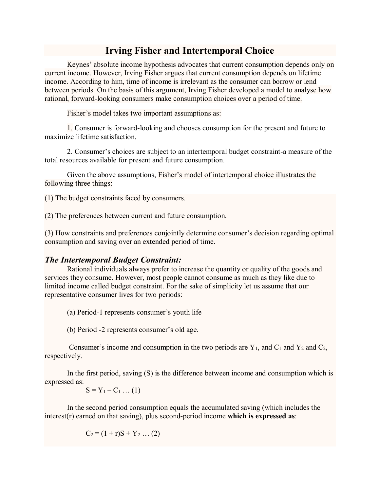## **Irving Fisher and Intertemporal Choice**

Keynes' absolute income hypothesis advocates that current consumption depends only on current income. However, Irving Fisher argues that current consumption depends on lifetime income. According to him, time of income is irrelevant as the consumer can borrow or lend between periods. On the basis of this argument, Irving Fisher developed a model to analyse how rational, forward-looking consumers make consumption choices over a period of time.

Fisher's model takes two important assumptions as:

1. Consumer is forward-looking and chooses consumption for the present and future to maximize lifetime satisfaction.

2. Consumer's choices are subject to an intertemporal budget constraint-a measure of the total resources available for present and future consumption.

Given the above assumptions, Fisher's model of intertemporal choice illustrates the following three things:

(1) The budget constraints faced by consumers.

(2) The preferences between current and future consumption.

(3) How constraints and preferences conjointly determine consumer's decision regarding optimal consumption and saving over an extended period of time.

## *The Intertemporal Budget Constraint:*

Rational individuals always prefer to increase the quantity or quality of the goods and services they consume. However, most people cannot consume as much as they like due to limited income called budget constraint. For the sake of simplicity let us assume that our representative consumer lives for two periods:

(a) Period-1 represents consumer's youth life

(b) Period -2 represents consumer's old age.

Consumer's income and consumption in the two periods are  $Y_1$ , and  $C_1$  and  $Y_2$  and  $C_2$ , respectively.

In the first period, saving (S) is the difference between income and consumption which is expressed as:

$$
S = Y_1 - C_1 \dots (1)
$$

In the second period consumption equals the accumulated saving (which includes the interest(r) earned on that saving), plus second-period income **which is expressed as**:

$$
C_2 = (1+r)S + Y_2 \dots (2)
$$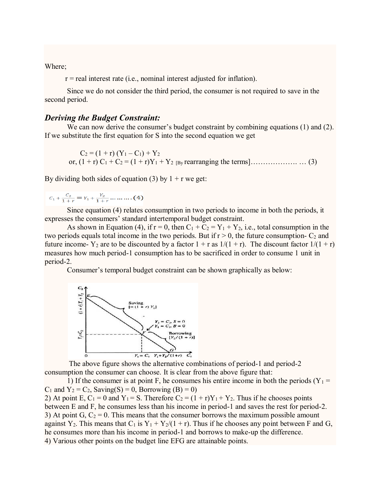Where;

 $r =$  real interest rate (i.e., nominal interest adjusted for inflation).

Since we do not consider the third period, the consumer is not required to save in the second period.

## *Deriving the Budget Constraint:*

We can now derive the consumer's budget constraint by combining equations (1) and (2). If we substitute the first equation for S into the second equation we get

 $C_2 = (1 + r) (Y_1 - C_1) + Y_2$ or, (1 + r) C<sup>1</sup> + C<sup>2</sup> = (1 + r)Y<sup>1</sup> + Y2 [By rearranging the terms]………………. … (3)

By dividing both sides of equation (3) by  $1 + r$  we get:

 $C_1 + \frac{C_2}{1+r} = Y_1 + \frac{Y_2}{1+r} \dots \dots \dots (4)$ 

Since equation (4) relates consumption in two periods to income in both the periods, it expresses the consumers' standard intertemporal budget constraint.

As shown in Equation (4), if  $r = 0$ , then  $C_1 + C_2 = Y_1 + Y_2$ , i.e., total consumption in the two periods equals total income in the two periods. But if  $r > 0$ , the future consumption-  $C_2$  and future income- Y<sub>2</sub> are to be discounted by a factor  $1 + r$  as  $1/(1 + r)$ . The discount factor  $1/(1 + r)$ measures how much period-1 consumption has to be sacrificed in order to consume 1 unit in period-2.

Consumer's temporal budget constraint can be shown graphically as below:



The above figure shows the alternative combinations of period-1 and period-2 consumption the consumer can choose. It is clear from the above figure that:

1) If the consumer is at point F, he consumes his entire income in both the periods ( $Y_1 =$  $C_1$  and  $Y_2 = C_2$ , Saving(S) = 0, Borrowing (B) = 0)

2) At point E,  $C_1 = 0$  and  $Y_1 = S$ . Therefore  $C_2 = (1 + r)Y_1 + Y_2$ . Thus if he chooses points between E and F, he consumes less than his income in period-1 and saves the rest for period-2. 3) At point G,  $C_2 = 0$ . This means that the consumer borrows the maximum possible amount against Y<sub>2</sub>. This means that C<sub>1</sub> is Y<sub>1</sub> + Y<sub>2</sub>/(1 + r). Thus if he chooses any point between F and G, he consumes more than his income in period-1 and borrows to make-up the difference. 4) Various other points on the budget line EFG are attainable points.